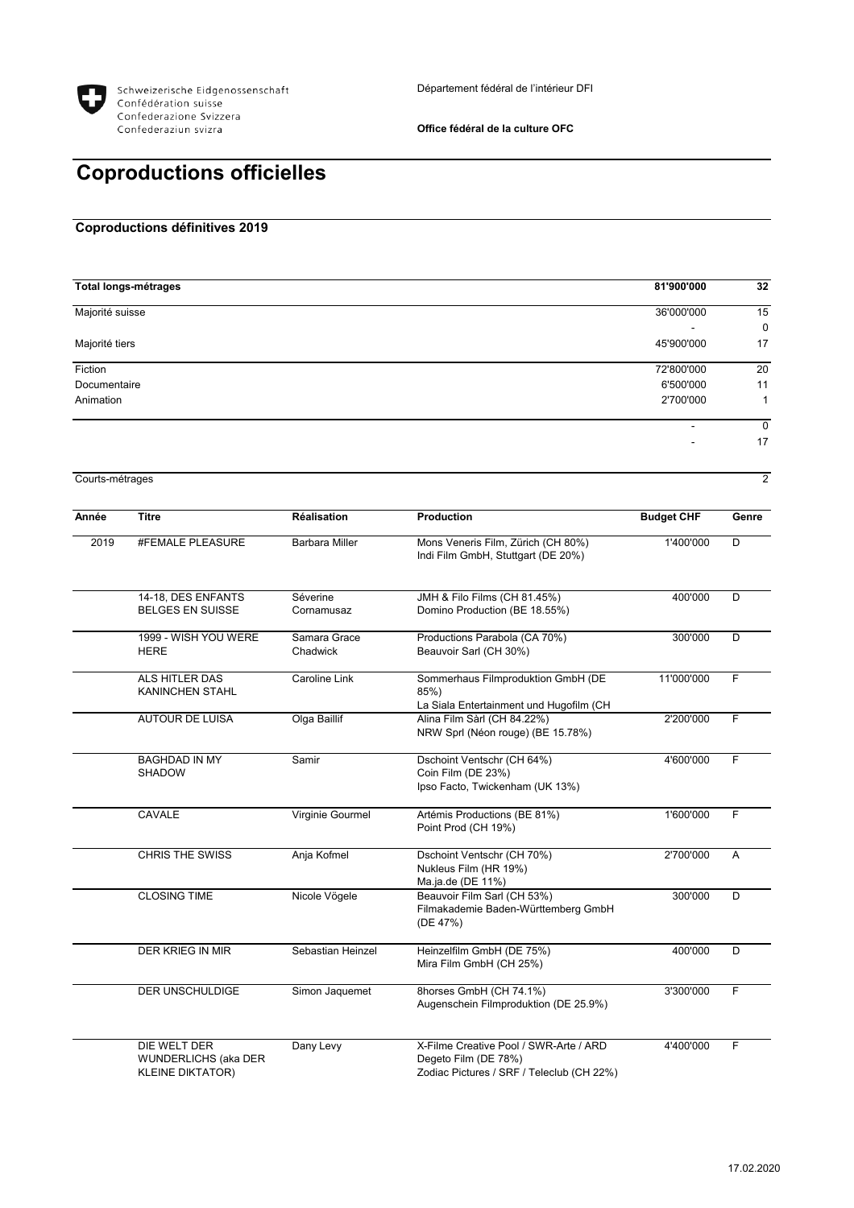

**Office fédéral de la culture OFC**

## **Coproductions officielles**

## **Coproductions définitives 2019**

| <b>Total longs-métrages</b> | 81'900'000               | 32 |
|-----------------------------|--------------------------|----|
| Majorité suisse             | 36'000'000               | 15 |
|                             | $\overline{\phantom{0}}$ | 0  |
| Majorité tiers              | 45'900'000               | 17 |
| Fiction                     | 72'800'000               | 20 |
| Documentaire                | 6'500'000                | 11 |
| Animation                   | 2'700'000                | 4  |
|                             | -                        | 0  |
|                             | $\overline{\phantom{a}}$ | 17 |

Courts-métrages 2

| Année | <b>Titre</b>                                                    | <b>Réalisation</b>       | <b>Production</b>                                                                                           | <b>Budget CHF</b> | Genre |
|-------|-----------------------------------------------------------------|--------------------------|-------------------------------------------------------------------------------------------------------------|-------------------|-------|
| 2019  | #FEMALE PLEASURE                                                | <b>Barbara Miller</b>    | Mons Veneris Film, Zürich (CH 80%)<br>Indi Film GmbH, Stuttgart (DE 20%)                                    | 1'400'000         | D     |
|       | 14-18, DES ENFANTS<br><b>BELGES EN SUISSE</b>                   | Séverine<br>Cornamusaz   | JMH & Filo Films (CH 81.45%)<br>Domino Production (BE 18.55%)                                               | 400'000           | D     |
|       | 1999 - WISH YOU WERE<br><b>HERE</b>                             | Samara Grace<br>Chadwick | Productions Parabola (CA 70%)<br>Beauvoir Sarl (CH 30%)                                                     | 300'000           | D     |
|       | ALS HITLER DAS<br><b>KANINCHEN STAHL</b>                        | Caroline Link            | Sommerhaus Filmproduktion GmbH (DE<br>85%)<br>La Siala Entertainment und Hugofilm (CH                       | 11'000'000        | F     |
|       | <b>AUTOUR DE LUISA</b>                                          | Olga Baillif             | Alina Film Sàrl (CH 84.22%)<br>NRW Sprl (Néon rouge) (BE 15.78%)                                            | 2'200'000         | F     |
|       | <b>BAGHDAD IN MY</b><br><b>SHADOW</b>                           | Samir                    | Dschoint Ventschr (CH 64%)<br>Coin Film (DE 23%)<br>Ipso Facto, Twickenham (UK 13%)                         | 4'600'000         | F     |
|       | <b>CAVALE</b>                                                   | Virginie Gourmel         | Artémis Productions (BE 81%)<br>Point Prod (CH 19%)                                                         | 1'600'000         | F     |
|       | <b>CHRIS THE SWISS</b>                                          | Anja Kofmel              | Dschoint Ventschr (CH 70%)<br>Nukleus Film (HR 19%)<br>Ma.ja.de (DE 11%)                                    | 2'700'000         | A     |
|       | <b>CLOSING TIME</b>                                             | Nicole Vögele            | Beauvoir Film Sarl (CH 53%)<br>Filmakademie Baden-Württemberg GmbH<br>(DE 47%)                              | 300'000           | D     |
|       | <b>DER KRIEG IN MIR</b>                                         | Sebastian Heinzel        | Heinzelfilm GmbH (DE 75%)<br>Mira Film GmbH (CH 25%)                                                        | 400'000           | D     |
|       | DER UNSCHULDIGE                                                 | Simon Jaquemet           | 8horses GmbH (CH 74.1%)<br>Augenschein Filmproduktion (DE 25.9%)                                            | 3'300'000         | F     |
|       | DIE WELT DER<br>WUNDERLICHS (aka DER<br><b>KLEINE DIKTATOR)</b> | Dany Levy                | X-Filme Creative Pool / SWR-Arte / ARD<br>Degeto Film (DE 78%)<br>Zodiac Pictures / SRF / Teleclub (CH 22%) | 4'400'000         | F     |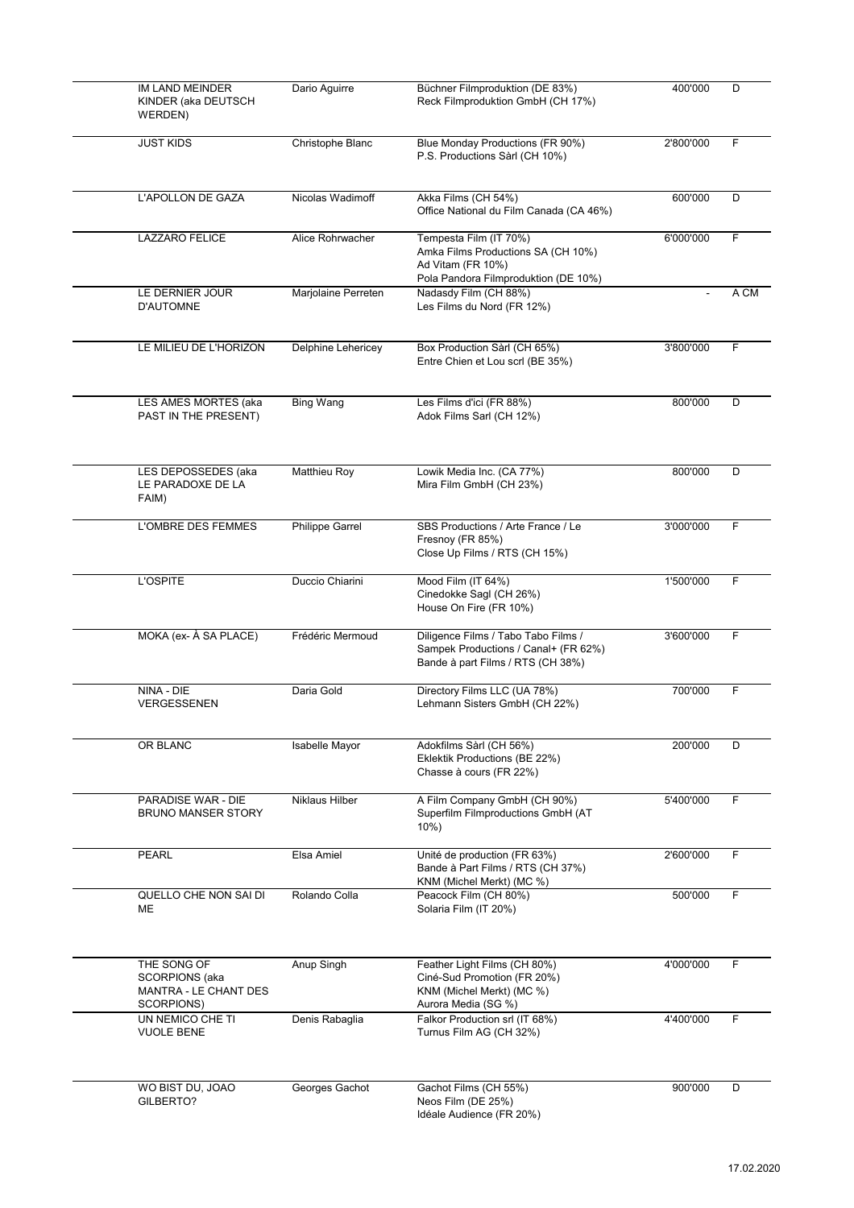| IM LAND MEINDER<br>KINDER (aka DEUTSCH<br>WERDEN)                           | Dario Aguirre          | Büchner Filmproduktion (DE 83%)<br>Reck Filmproduktion GmbH (CH 17%)                                                      | 400'000   | D    |
|-----------------------------------------------------------------------------|------------------------|---------------------------------------------------------------------------------------------------------------------------|-----------|------|
| <b>JUST KIDS</b>                                                            | Christophe Blanc       | Blue Monday Productions (FR 90%)<br>P.S. Productions Sàrl (CH 10%)                                                        | 2'800'000 | F    |
| L'APOLLON DE GAZA                                                           | Nicolas Wadimoff       | Akka Films (CH 54%)<br>Office National du Film Canada (CA 46%)                                                            | 600'000   | D    |
| <b>LAZZARO FELICE</b>                                                       | Alice Rohrwacher       | Tempesta Film (IT 70%)<br>Amka Films Productions SA (CH 10%)<br>Ad Vitam (FR 10%)<br>Pola Pandora Filmproduktion (DE 10%) | 6'000'000 | F.   |
| LE DERNIER JOUR<br><b>D'AUTOMNE</b>                                         | Marjolaine Perreten    | Nadasdy Film (CH 88%)<br>Les Films du Nord (FR 12%)                                                                       |           | A CM |
| LE MILIEU DE L'HORIZON                                                      | Delphine Lehericey     | Box Production Sàrl (CH 65%)<br>Entre Chien et Lou scrl (BE 35%)                                                          | 3'800'000 | F.   |
| LES AMES MORTES (aka<br>PAST IN THE PRESENT)                                | <b>Bing Wang</b>       | Les Films d'ici (FR 88%)<br>Adok Films Sarl (CH 12%)                                                                      | 800'000   | D    |
| LES DEPOSSEDES (aka<br>LE PARADOXE DE LA<br>FAIM)                           | Matthieu Roy           | Lowik Media Inc. (CA 77%)<br>Mira Film GmbH (CH 23%)                                                                      | 800'000   | D    |
| L'OMBRE DES FEMMES                                                          | <b>Philippe Garrel</b> | SBS Productions / Arte France / Le<br>Fresnoy (FR 85%)<br>Close Up Films / RTS (CH 15%)                                   | 3'000'000 | F.   |
| <b>L'OSPITE</b>                                                             | Duccio Chiarini        | Mood Film (IT 64%)<br>Cinedokke Sagl (CH 26%)<br>House On Fire (FR 10%)                                                   | 1'500'000 | F    |
| MOKA (ex- À SA PLACE)                                                       | Frédéric Mermoud       | Diligence Films / Tabo Tabo Films /<br>Sampek Productions / Canal+ (FR 62%)<br>Bande à part Films / RTS (CH 38%)          | 3'600'000 | F    |
| NINA - DIE<br>VERGESSENEN                                                   | Daria Gold             | Directory Films LLC (UA 78%)<br>Lehmann Sisters GmbH (CH 22%)                                                             | 700'000   | F    |
| OR BLANC                                                                    | Isabelle Mayor         | Adokfilms Sàrl (CH 56%)<br>Eklektik Productions (BE 22%)<br>Chasse à cours (FR 22%)                                       | 200'000   | D    |
| <b>PARADISE WAR - DIE</b><br><b>BRUNO MANSER STORY</b>                      | Niklaus Hilber         | A Film Company GmbH (CH 90%)<br>Superfilm Filmproductions GmbH (AT<br>10%                                                 | 5'400'000 | F    |
| <b>PEARL</b>                                                                | Elsa Amiel             | Unité de production (FR 63%)<br>Bande à Part Films / RTS (CH 37%)<br>KNM (Michel Merkt) (MC %)                            | 2'600'000 | F.   |
| QUELLO CHE NON SAI DI<br>ME                                                 | Rolando Colla          | Peacock Film (CH 80%)<br>Solaria Film (IT 20%)                                                                            | 500'000   | F.   |
| THE SONG OF<br><b>SCORPIONS</b> (aka<br>MANTRA - LE CHANT DES<br>SCORPIONS) | Anup Singh             | Feather Light Films (CH 80%)<br>Ciné-Sud Promotion (FR 20%)<br>KNM (Michel Merkt) (MC %)<br>Aurora Media (SG %)           | 4'000'000 | F    |
| UN NEMICO CHE TI<br><b>VUOLE BENE</b>                                       | Denis Rabaglia         | Falkor Production srl (IT 68%)<br>Turnus Film AG (CH 32%)                                                                 | 4'400'000 | F.   |
| WO BIST DU, JOAO<br>GILBERTO?                                               | Georges Gachot         | Gachot Films (CH 55%)<br>Neos Film (DE 25%)<br>Idéale Audience (FR 20%)                                                   | 900'000   | D    |